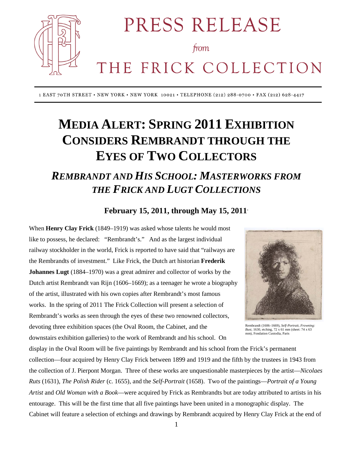

PRESS RELEASE

from

# THE FRICK COLLECTION

1 EAST 70TH STREET • NEW YORK • NEW YORK 10021 • TELEPHONE (212) 288-0700 • FAX (212) 628-4417

## **MEDIA ALERT: SPRING 2011 EXHIBITION CONSIDERS REMBRANDT THROUGH THE EYES OF TWO COLLECTORS**

### *REMBRANDT AND HIS SCHOOL: MASTERWORKS FROM THE FRICK AND LUGT COLLECTIONS*

#### **February 15, 2011, through May 15, 2011**\*

When **Henry Clay Frick** (1849–1919) was asked whose talents he would most like to possess, he declared: "Rembrandt's." And as the largest individual railway stockholder in the world, Frick is reported to have said that "railways are the Rembrandts of investment." Like Frick, the Dutch art historian **Frederik Johannes Lugt** (1884–1970) was a great admirer and collector of works by the Dutch artist Rembrandt van Rijn (1606–1669); as a teenager he wrote a biography of the artist, illustrated with his own copies after Rembrandt's most famous works. In the spring of 2011 The Frick Collection will present a selection of Rembrandt's works as seen through the eyes of these two renowned collectors, devoting three exhibition spaces (the Oval Room, the Cabinet, and the downstairs exhibition galleries) to the work of Rembrandt and his school. On



Rembrandt (1606–1669), *Self-Portrait, Frowning: Bust,* 1630, etching, 72 x 61 mm (sheet: 74 x 63 mm), Fondation Custodia, Paris

display in the Oval Room will be five paintings by Rembrandt and his school from the Frick's permanent collection—four acquired by Henry Clay Frick between 1899 and 1919 and the fifth by the trustees in 1943 from the collection of J. Pierpont Morgan. Three of these works are unquestionable masterpieces by the artist—*Nicolaes Ruts* (1631), *The Polish Rider* (c. 1655), and the *Self-Portrait* (1658). Two of the paintings—*Portrait of a Young Artist* and *Old Woman with a Book*—were acquired by Frick as Rembrandts but are today attributed to artists in his entourage. This will be the first time that all five paintings have been united in a monographic display. The Cabinet will feature a selection of etchings and drawings by Rembrandt acquired by Henry Clay Frick at the end of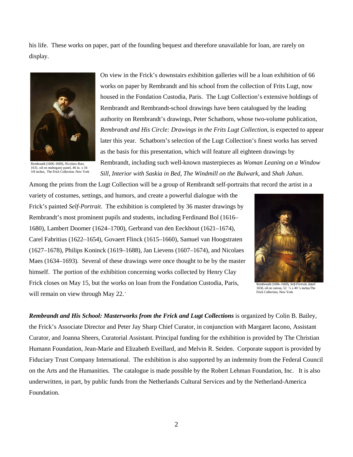his life. These works on paper, part of the founding bequest and therefore unavailable for loan, are rarely on display.



Rembrandt (1606–1669), *Nicolaes Ruts*, 1631, oil on mahogany panel, 46 in. x 34 3/8 inches, The Frick Collection, New York

On view in the Frick's downstairs exhibition galleries will be a loan exhibition of 66 works on paper by Rembrandt and his school from the collection of Frits Lugt, now housed in the Fondation Custodia, Paris. The Lugt Collection's extensive holdings of Rembrandt and Rembrandt-school drawings have been catalogued by the leading authority on Rembrandt's drawings, Peter Schatborn, whose two-volume publication, *Rembrandt and His Circle: Drawings in the Frits Lugt Collection*, is expected to appear later this year. Schatborn's selection of the Lugt Collection's finest works has served as the basis for this presentation, which will feature all eighteen drawings by Rembrandt, including such well-known masterpieces as *Woman Leaning on a Window Sill*, *Interior with Saskia in Bed*, *The Windmill on the Bulwark*, and *Shah Jahan*.

Among the prints from the Lugt Collection will be a group of Rembrandt self-portraits that record the artist in a

variety of costumes, settings, and humors, and create a powerful dialogue with the Frick's painted *Self-Portrait*. The exhibition is completed by 36 master drawings by Rembrandt's most prominent pupils and students, including Ferdinand Bol (1616– 1680), Lambert Doomer (1624–1700), Gerbrand van den Eeckhout (1621–1674), Carel Fabritius (1622–1654), Govaert Flinck (1615–1660), Samuel van Hoogstraten (1627–1678), Philips Koninck (1619–1688), Jan Lievens (1607–1674), and Nicolaes Maes (1634–1693). Several of these drawings were once thought to be by the master himself. The portion of the exhibition concerning works collected by Henry Clay Frick closes on May 15, but the works on loan from the Fondation Custodia, Paris, will remain on view through May 22.<sup>\*</sup>



Rembrandt (1606–1669), *Self-Portrait*, dated 1658, oil on canvas, 52  $\frac{5}{8}$  x 40  $\frac{7}{8}$  inches The Frick Collection, New York

*Rembrandt and His School: Masterworks from the Frick and Lugt Collections* is organized by Colin B. Bailey, the Frick's Associate Director and Peter Jay Sharp Chief Curator, in conjunction with Margaret Iacono, Assistant Curator, and Joanna Sheers, Curatorial Assistant. Principal funding for the exhibition is provided by The Christian Humann Foundation, Jean-Marie and Elizabeth Eveillard, and Melvin R. Seiden. Corporate support is provided by Fiduciary Trust Company International. The exhibition is also supported by an indemnity from the Federal Council on the Arts and the Humanities. The catalogue is made possible by the Robert Lehman Foundation, Inc. It is also underwritten, in part, by public funds from the Netherlands Cultural Services and by the Netherland-America Foundation.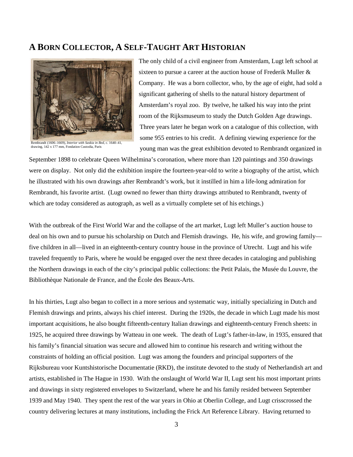#### **A BORN COLLECTOR, A SELF-TAUGHT ART HISTORIAN**



Rembrandt (1606–1669), *Interior with Saskia in Bed*, c. 1640–41, drawing, 142 x 177 mm, Fondation Custodia, Paris

The only child of a civil engineer from Amsterdam, Lugt left school at sixteen to pursue a career at the auction house of Frederik Muller & Company. He was a born collector, who, by the age of eight, had sold a significant gathering of shells to the natural history department of Amsterdam's royal zoo. By twelve, he talked his way into the print room of the Rijksmuseum to study the Dutch Golden Age drawings. Three years later he began work on a catalogue of this collection, with some 955 entries to his credit. A defining viewing experience for the young man was the great exhibition devoted to Rembrandt organized in

September 1898 to celebrate Queen Wilhelmina's coronation, where more than 120 paintings and 350 drawings were on display. Not only did the exhibition inspire the fourteen-year-old to write a biography of the artist, which he illustrated with his own drawings after Rembrandt's work, but it instilled in him a life-long admiration for Rembrandt, his favorite artist. (Lugt owned no fewer than thirty drawings attributed to Rembrandt, twenty of which are today considered as autograph, as well as a virtually complete set of his etchings.)

With the outbreak of the First World War and the collapse of the art market, Lugt left Muller's auction house to deal on his own and to pursue his scholarship on Dutch and Flemish drawings. He, his wife, and growing family five children in all—lived in an eighteenth-century country house in the province of Utrecht. Lugt and his wife traveled frequently to Paris, where he would be engaged over the next three decades in cataloging and publishing the Northern drawings in each of the city's principal public collections: the Petit Palais, the Musée du Louvre, the Bibliothèque Nationale de France, and the École des Beaux-Arts.

In his thirties, Lugt also began to collect in a more serious and systematic way, initially specializing in Dutch and Flemish drawings and prints, always his chief interest. During the 1920s, the decade in which Lugt made his most important acquisitions, he also bought fifteenth-century Italian drawings and eighteenth-century French sheets: in 1925, he acquired three drawings by Watteau in one week. The death of Lugt's father-in-law, in 1935, ensured that his family's financial situation was secure and allowed him to continue his research and writing without the constraints of holding an official position. Lugt was among the founders and principal supporters of the Rijksbureau voor Kuntshistorische Documentatie (RKD), the institute devoted to the study of Netherlandish art and artists, established in The Hague in 1930. With the onslaught of World War II, Lugt sent his most important prints and drawings in sixty registered envelopes to Switzerland, where he and his family resided between September 1939 and May 1940. They spent the rest of the war years in Ohio at Oberlin College, and Lugt crisscrossed the country delivering lectures at many institutions, including the Frick Art Reference Library. Having returned to